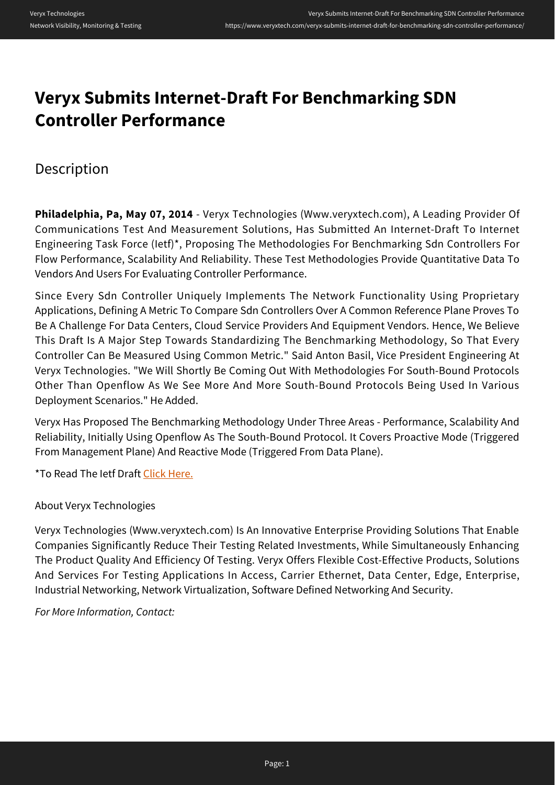## **Veryx Submits Internet-Draft For Benchmarking SDN Controller Performance**

## Description

**Philadelphia, Pa, May 07, 2014** - Veryx Technologies (Www.veryxtech.com), A Leading Provider Of Communications Test And Measurement Solutions, Has Submitted An Internet-Draft To Internet Engineering Task Force (Ietf)\*, Proposing The Methodologies For Benchmarking Sdn Controllers For Flow Performance, Scalability And Reliability. These Test Methodologies Provide Quantitative Data To Vendors And Users For Evaluating Controller Performance.

Since Every Sdn Controller Uniquely Implements The Network Functionality Using Proprietary Applications, Defining A Metric To Compare Sdn Controllers Over A Common Reference Plane Proves To Be A Challenge For Data Centers, Cloud Service Providers And Equipment Vendors. Hence, We Believe This Draft Is A Major Step Towards Standardizing The Benchmarking Methodology, So That Every Controller Can Be Measured Using Common Metric." Said Anton Basil, Vice President Engineering At Veryx Technologies. "We Will Shortly Be Coming Out With Methodologies For South-Bound Protocols Other Than Openflow As We See More And More South-Bound Protocols Being Used In Various Deployment Scenarios." He Added.

Veryx Has Proposed The Benchmarking Methodology Under Three Areas - Performance, Scalability And Reliability, Initially Using Openflow As The South-Bound Protocol. It Covers Proactive Mode (Triggered From Management Plane) And Reactive Mode (Triggered From Data Plane).

\*To Read The Ietf Draft [Click Here.](https://datatracker.ietf.org/doc/draft-bhuvan-bmwg-of-controller-benchmarking/)

About Veryx Technologies

Veryx Technologies (Www.veryxtech.com) Is An Innovative Enterprise Providing Solutions That Enable Companies Significantly Reduce Their Testing Related Investments, While Simultaneously Enhancing The Product Quality And Efficiency Of Testing. Veryx Offers Flexible Cost-Effective Products, Solutions And Services For Testing Applications In Access, Carrier Ethernet, Data Center, Edge, Enterprise, Industrial Networking, Network Virtualization, Software Defined Networking And Security.

*For More Information, Contact:*